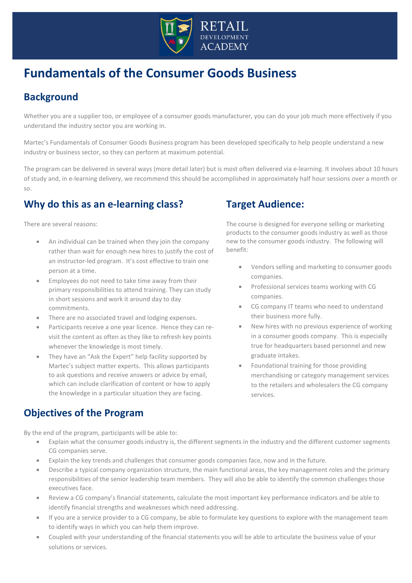

# **Fundamentals of the Consumer Goods Business**

## **Background**

Whether you are a supplier too, or employee of a consumer goods manufacturer, you can do your job much more effectively if you understand the industry sector you are working in.

Martec's Fundamentals of Consumer Goods Business program has been developed specifically to help people understand a new industry or business sector, so they can perform at maximum potential.

The program can be delivered in several ways (more detail later) but is most often delivered via e-learning. It involves about 10 hours of study and, in e-learning delivery, we recommend this should be accomplished in approximately half hour sessions over a month or so.

## **Why do this as an e-learning class?**

There are several reasons:

- An individual can be trained when they join the company rather than wait for enough new hires to justify the cost of an instructor-led program. It's cost effective to train one person at a time.
- Employees do not need to take time away from their primary responsibilities to attend training. They can study in short sessions and work it around day to day commitments.
- There are no associated travel and lodging expenses.
- Participants receive a one year licence. Hence they can revisit the content as often as they like to refresh key points whenever the knowledge is most timely.
- They have an "Ask the Expert" help facility supported by Martec's subject matter experts. This allows participants to ask questions and receive answers or advice by email, which can include clarification of content or how to apply the knowledge in a particular situation they are facing.

## **Objectives of the Program**

By the end of the program, participants will be able to:

## **Target Audience:**

The course is designed for everyone selling or marketing products to the consumer goods industry as well as those new to the consumer goods industry. The following will benefit:

- Vendors selling and marketing to consumer goods companies.
- Professional services teams working with CG companies.
- CG company IT teams who need to understand their business more fully.
- New hires with no previous experience of working in a consumer goods company. This is especially true for headquarters based personnel and new graduate intakes.
- Foundational training for those providing merchandising or category management services to the retailers and wholesalers the CG company services.
- Explain what the consumer goods industry is, the different segments in the industry and the different customer segments CG companies serve.
- Explain the key trends and challenges that consumer goods companies face, now and in the future.
- Describe a typical company organization structure, the main functional areas, the key management roles and the primary responsibilities of the senior leadership team members. They will also be able to identify the common challenges those executives face.
- Review a CG company's financial statements, calculate the most important key performance indicators and be able to identify financial strengths and weaknesses which need addressing.
- If you are a service provider to a CG company, be able to formulate key questions to explore with the management team to identify ways in which you can help them improve.
- Coupled with your understanding of the financial statements you will be able to articulate the business value of your solutions or services.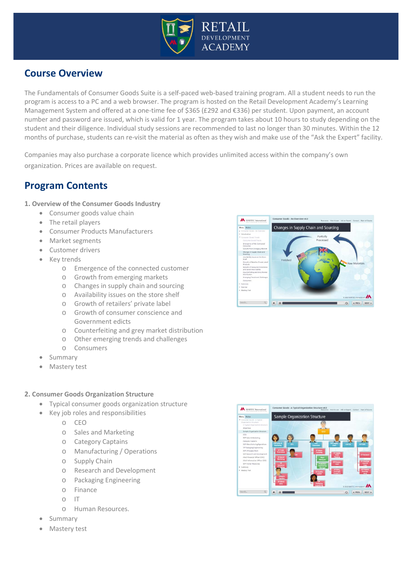

### **Course Overview**

The Fundamentals of Consumer Goods Suite is a self-paced web-based training program. All a student needs to run the program is access to a PC and a web browser. The program is hosted on the Retail Development Academy's Learning Management System and offered at a one-time fee of \$365 (£292 and €336) per student. Upon payment, an account number and password are issued, which is valid for 1 year. The program takes about 10 hours to study depending on the student and their diligence. Individual study sessions are recommended to last no longer than 30 minutes. Within the 12 months of purchase, students can re-visit the material as often as they wish and make use of the "Ask the Expert" facility.

Companies may also purchase a corporate licence which provides unlimited access within the company's own organization. Prices are available on request.

### **Program Contents**

- **1. Overview of the Consumer Goods Industry**
	- Consumer goods value chain
	- The retail players
	- Consumer Products Manufacturers
	- Market segments
	- Customer drivers
	- Key trends
		- o Emergence of the connected customer
		- o Growth from emerging markets
		- o Changes in supply chain and sourcing
		- o Availability issues on the store shelf
		- o Growth of retailers' private label
		- o Growth of consumer conscience and Government edicts
		- o Counterfeiting and grey market distribution
		- o Other emerging trends and challenges
		- o Consumers
	- **Summary**
	- **Mastery test**

#### **2. Consumer Goods Organization Structure**

- Typical consumer goods organization structure
- Key job roles and responsibilities
	- o CEO
	- o Sales and Marketing
	- o Category Captains
	- o Manufacturing / Operations
	- o Supply Chain
	- o Research and Development
	- o Packaging Engineering
	- o Finance
	- o IT
	- o Human Resources.
- Summary
- Mastery test



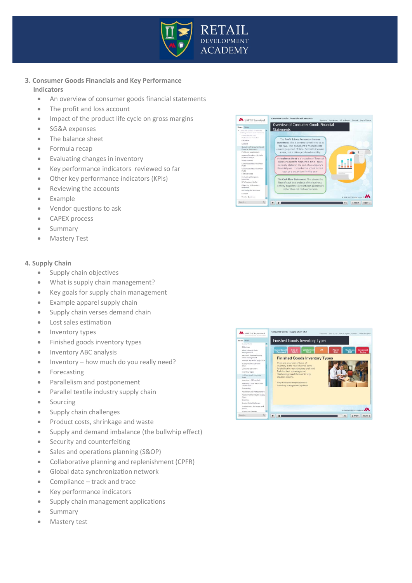

#### **3. Consumer Goods Financials and Key Performance Indicators**

- An overview of consumer goods financial statements
- The profit and loss account
- Impact of the product life cycle on gross margins
- SG&A expenses
- The balance sheet
- Formula recap
- Evaluating changes in inventory
- Key performance indicators reviewed so far
- Other key performance indicators (KPIs)
- Reviewing the accounts
- Example
- Vendor questions to ask
- CAPEX process
- Summary
- **Mastery Test**

#### **4. Supply Chain**

- Supply chain objectives
- What is supply chain management?
- Key goals for supply chain management
- Example apparel supply chain
- Supply chain verses demand chain
- Lost sales estimation
- Inventory types
- Finished goods inventory types
- Inventory ABC analysis
- Inventory how much do you really need?
- Forecasting
- Parallelism and postponement
- Parallel textile industry supply chain
- Sourcing
- Supply chain challenges
- Product costs, shrinkage and waste
- Supply and demand imbalance (the bullwhip effect)
- Security and counterfeiting
- Sales and operations planning (S&OP)
- Collaborative planning and replenishment (CPFR)
- Global data synchronization network
- Compliance track and trace
- Key performance indicators
- Supply chain management applications
- Summary
- Mastery test



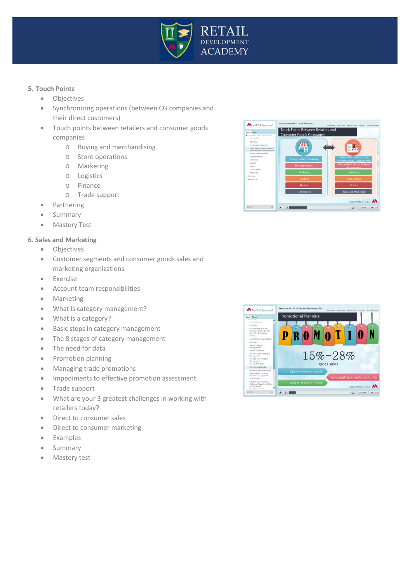

#### **5. Touch Points**

- Objectives
- Synchronizing operations (between CG companies and their direct customers)
- Touch points between retailers and consumer goods companies
	- o Buying and merchandising
	- o Store operations
	- o Marketing
	- o Logistics
	- o Finance
	- o Trade support
- Partnering
- Summary
- Mastery Test

#### **6. Sales and Marketing**

- Objectives
- Customer segments and consumer goods sales and marketing organizations
- Exercise
- Account team responsibilities
- Marketing
- What is category management?
- What is a category?
- Basic steps in category management
- The 8 stages of category management
- The need for data
- Promotion planning
- Managing trade promotions
- Impediments to effective promotion assessment
- Trade support
- What are your 3 greatest challenges in working with retailers today?
- Direct to consumer sales
- Direct to consumer marketing
- Examples
- Summary
- Mastery test